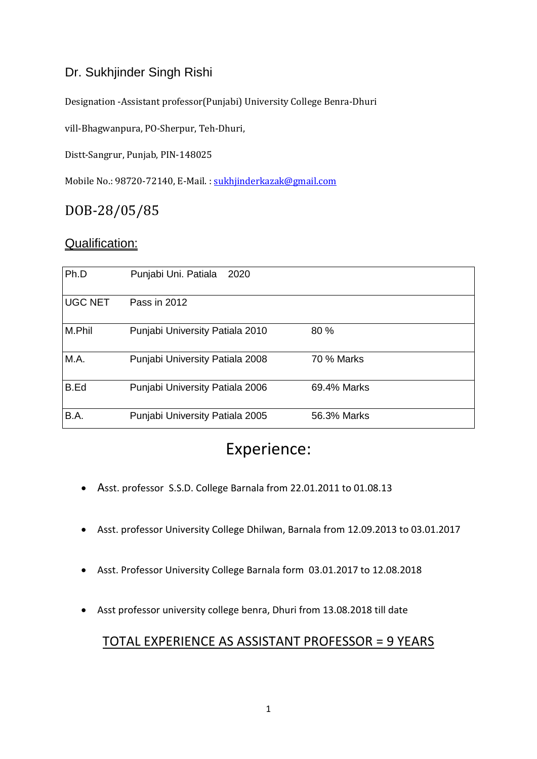### Dr. Sukhjinder Singh Rishi

Designation -Assistant professor(Punjabi) University College Benra-Dhuri

vill-Bhagwanpura, PO-Sherpur, Teh-Dhuri,

Distt-Sangrur, Punjab, PIN-148025

Mobile No.: 98720-72140, E-Mail. : [sukhjinderkazak@gmail.com](mailto:sukhjinderkazak@gmail.com)

## DOB-28/05/85

#### Qualification:

| Ph.D           | Punjabi Uni. Patiala<br>2020    |             |  |
|----------------|---------------------------------|-------------|--|
| <b>UGC NET</b> | Pass in 2012                    |             |  |
| M.Phil         | Punjabi University Patiala 2010 | 80 %        |  |
| M.A.           | Punjabi University Patiala 2008 | 70 % Marks  |  |
| <b>B.Ed</b>    | Punjabi University Patiala 2006 | 69.4% Marks |  |
| B.A.           | Punjabi University Patiala 2005 | 56.3% Marks |  |

# Experience:

- Asst. professor S.S.D. College Barnala from 22.01.2011 to 01.08.13
- Asst. professor University College Dhilwan, Barnala from 12.09.2013 to 03.01.2017
- Asst. Professor University College Barnala form 03.01.2017 to 12.08.2018
- Asst professor university college benra, Dhuri from 13.08.2018 till date

#### TOTAL EXPERIENCE AS ASSISTANT PROFESSOR = 9 YEARS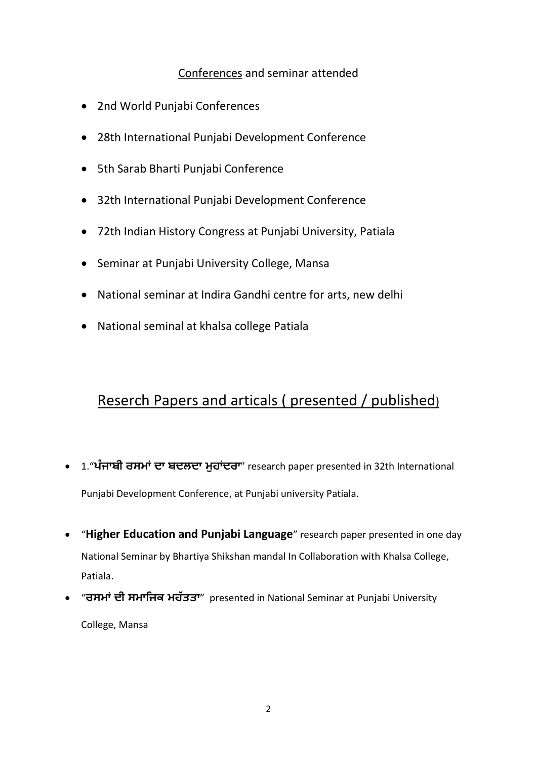#### Conferences and seminar attended

- 2nd World Punjabi Conferences
- 28th International Punjabi Development Conference
- 5th Sarab Bharti Punjabi Conference
- 32th International Punjabi Development Conference
- 72th Indian History Congress at Punjabi University, Patiala
- Seminar at Punjabi University College, Mansa
- National seminar at Indira Gandhi centre for arts, new delhi
- National seminal at khalsa college Patiala

## Reserch Papers and articals ( presented / published)

- 1."**ੰ ਜਾਫੀ ਰਸਭਾਂ ਦਾ ਫਦਲਦਾ ਭੁਹਾਂਦਰਾ**" research paper presented in 32th International Punjabi Development Conference, at Punjabi university Patiala.
- "**Higher Education and Punjabi Language**" research paper presented in one day National Seminar by Bhartiya Shikshan mandal In Collaboration with Khalsa College, Patiala.
- "**ਰਸਭਾਂ ਦੀ ਸਭਾਜਜਕ ਭਹੱ ਤਤਾ**" presented in National Seminar at Punjabi University College, Mansa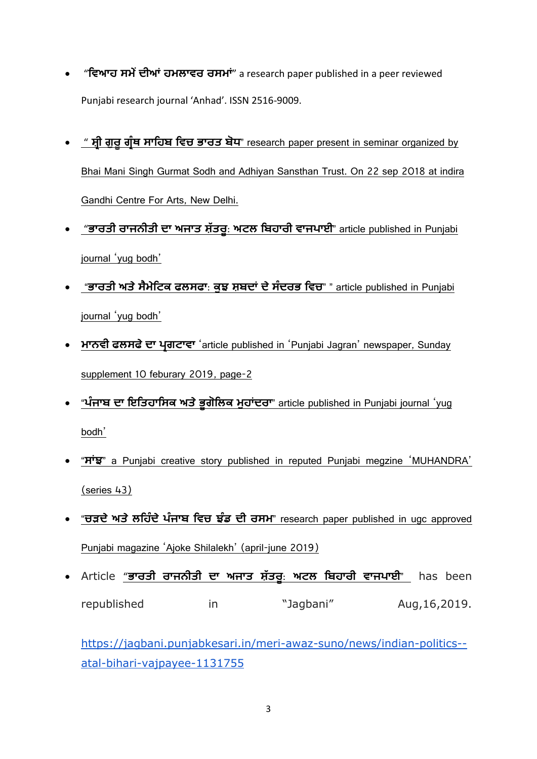- "**ਜਿਆਹ ਸਭੇਂਦੀਆਂ ਹਭਲਾਿਰ ਰਸਭਾਂ**" a research paper published in a peer reviewed Punjabi research journal 'Anhad'. ISSN 2516-9009.
- " **ਸ਼੍ਰੀ ਗੁਰੂਗਰੰ ਥ ਸਾਜਹਫ ਜਿਚ ਬਾਰਤ ਫਧ**" research paper present in seminar organized by Bhai Mani Singh Gurmat Sodh and Adhiyan Sansthan Trust. On 22 sep 2018 at indira Gandhi Centre For Arts, New Delhi.
- "**ਬਾਰਤੀ ਰਾਜਨੀਤੀ ਦਾ ਅਜਾਤ ਸ਼੍ੱ ਤਰੂ**: **ਅਟਲ ਜਫਹਾਰੀ ਿਾਜਾਈ**" article published in Punjabi journal 'yug bodh'
- "ਭਾਰਤੀ ਅਤੇ ਸੈਮੇਟਿਕ ਫਲਸਫਾ: ਕੁਝ ਸ਼ਬਦਾਂ ਦੇ ਸੰਦਰਭ ਵਿਚ" " article published in Punjabi journal 'yug bodh'
- **ਭਾਨਿੀ ਪਲਸਪਦਾ ਰਗਟਾਿਾ** 'article published in 'Punjabi Jagran' newspaper, Sunday supplement 10 feburary 2019, page-2
- "**ੰ ਜਾਫ ਦਾ ਇਜਤਹਾਜਸਕ ਅਤਬੂਗਜਲਕ ਭੁਹਾਂਦਰਾ**" article published in Punjabi journal 'yug bodh'
- "**ਸਾਂਝ**" a Punjabi creative story published in reputed Punjabi megzine 'MUHANDRA' (series 43)
- "**ਚੜਦੇ ਅਤੇ ਲਹਿੰਦੇ ਪੰਜਾਬ ਵਿਚ ਝੰਡ ਦੀ ਰਸਮ**" research paper published in ugc approved Punjabi magazine 'Ajoke Shilalekh' (april-june 2019)
- Article "**ਬਾਰਤੀ ਰਾਜਨੀਤੀ ਦਾ ਅਜਾਤ ਸ਼੍ੱ ਤਰੂ**: **ਅਟਲ ਜਫਹਾਰੀ ਿਾਜਾਈ**" has been republished in "Jagbani" Aug,16,2019.

[https://jagbani.punjabkesari.in/meri-awaz-suno/news/indian-politics-](https://jagbani.punjabkesari.in/meri-awaz-suno/news/indian-politics--atal-bihari-vajpayee-1131755) [atal-bihari-vajpayee-1131755](https://jagbani.punjabkesari.in/meri-awaz-suno/news/indian-politics--atal-bihari-vajpayee-1131755)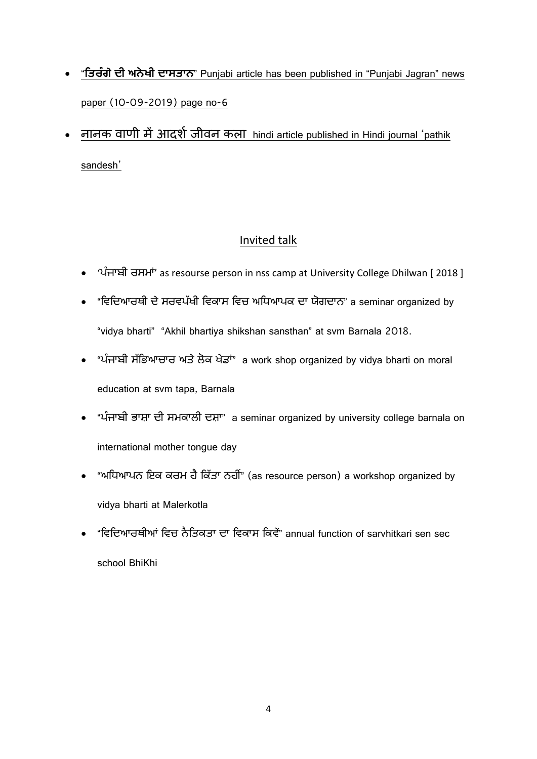- "**ਜਤਰੰ ਗਦੀ ਅਨੋ ਖੀ ਦਾਸਤਾਨ**" Punjabi article has been published in "Punjabi Jagran" news paper (10-09-2019) page no-6
- नानक वाणी में आदर्श जीवन कला hindi article published in Hindi journal 'pathik sandesh'

## Invited talk

- 'ੰ ਜਾਬੀ ਰਸਮਾਂ' as resourse person in nss camp at University College Dhilwan [ 2018 ]
- "ਵਿਦਿਆਰਥੀ ਦੇ ਸਰਵਪੱਖੀ ਵਿਕਾਸ ਵਿਚ ਅਧਿਆਪਕ ਦਾ ਯੋਗਦਾਨ" a seminar organized by "vidya bharti" "Akhil bhartiya shikshan sansthan" at svm Barnala 2018.
- "ਪੰਜਾਬੀ ਸੱਭਿਆਚਾਰ ਅਤੇ ਲੋਕ ਖੇਡਾਂ" a work shop organized by vidya bharti on moral education at svm tapa, Barnala
- "ਪੰਜਾਬੀ ਭਾਸ਼ਾ ਦੀ ਸਮਕਾਲੀ ਦਸ਼ਾ" a seminar organized by university college barnala on international mother tongue day
- "ਅਧਿਆਪਨ ਇਕ ਕਰਮ ਹੈ ਕਿੱਤਾ ਨਹੀਂ" (as resource person) a workshop organized by vidya bharti at Malerkotla
- "ਵਿਦਿਆਰਥੀਆਂ ਵਿਚ ਨੈਤਿਕਤਾ ਦਾ ਵਿਕਾਸ ਕਿਵੇਂ" annual function of sarvhitkari sen sec school BhiKhi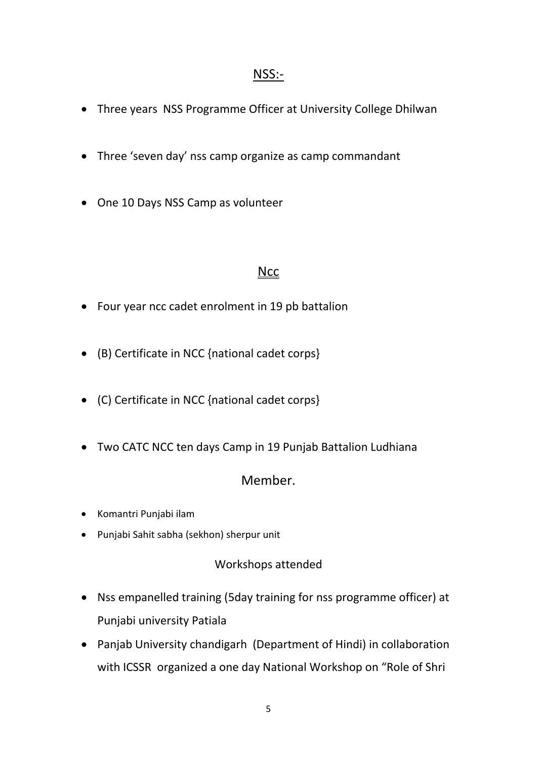### NSS:-

- Three years NSS Programme Officer at University College Dhilwan
- Three 'seven day' nss camp organize as camp commandant
- One 10 Days NSS Camp as volunteer

#### **Ncc**

- Four year ncc cadet enrolment in 19 pb battalion
- (B) Certificate in NCC {national cadet corps}
- (C) Certificate in NCC {national cadet corps}
- Two CATC NCC ten days Camp in 19 Punjab Battalion Ludhiana

## Member.

- Komantri Punjabi ilam
- Punjabi Sahit sabha (sekhon) sherpur unit

#### Workshops attended

- Nss empanelled training (5day training for nss programme officer) at Punjabi university Patiala
- Panjab University chandigarh (Department of Hindi) in collaboration with ICSSR organized a one day National Workshop on "Role of Shri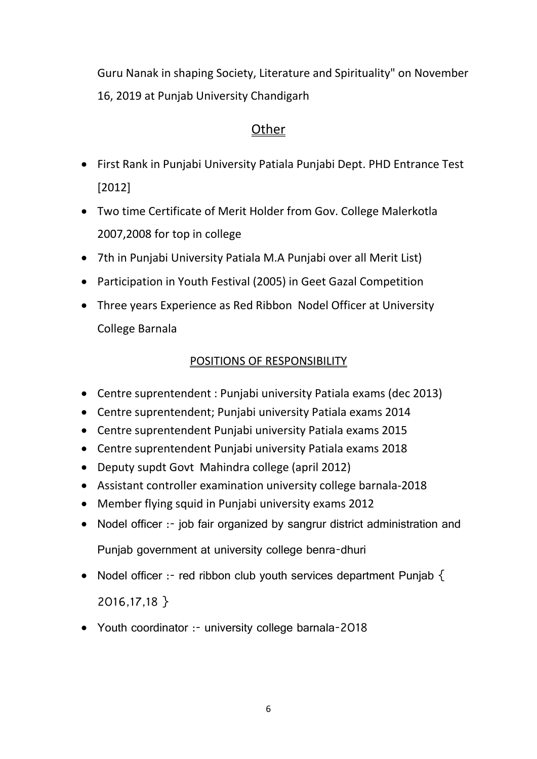Guru Nanak in shaping Society, Literature and Spirituality" on November 16, 2019 at Punjab University Chandigarh

### **Other**

- First Rank in Punjabi University Patiala Punjabi Dept. PHD Entrance Test [2012]
- Two time Certificate of Merit Holder from Gov. College Malerkotla 2007,2008 for top in college
- 7th in Punjabi University Patiala M.A Punjabi over all Merit List)
- Participation in Youth Festival (2005) in Geet Gazal Competition
- Three years Experience as Red Ribbon Nodel Officer at University College Barnala

### POSITIONS OF RESPONSIBILITY

- Centre suprentendent : Punjabi university Patiala exams (dec 2013)
- Centre suprentendent; Punjabi university Patiala exams 2014
- Centre suprentendent Punjabi university Patiala exams 2015
- Centre suprentendent Punjabi university Patiala exams 2018
- Deputy supdt Govt Mahindra college (april 2012)
- Assistant controller examination university college barnala-2018
- Member flying squid in Punjabi university exams 2012
- Nodel officer :- job fair organized by sangrur district administration and Punjab government at university college benra-dhuri
- Nodel officer :- red ribbon club youth services department Punjab  $\{$ 2016,17,18 }
- Youth coordinator :- university college barnala-2018